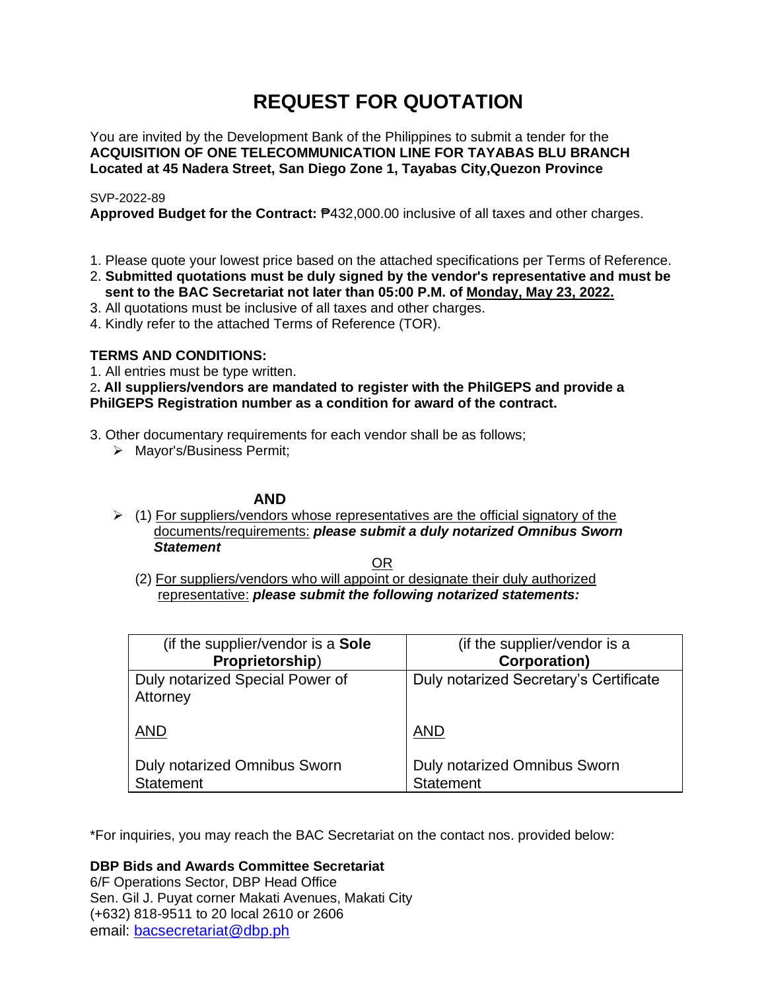# **REQUEST FOR QUOTATION**

You are invited by the Development Bank of the Philippines to submit a tender for the **ACQUISITION OF ONE TELECOMMUNICATION LINE FOR TAYABAS BLU BRANCH Located at 45 Nadera Street, San Diego Zone 1, Tayabas City,Quezon Province**

### SVP-2022-89

**Approved Budget for the Contract:** ₱432,000.00 inclusive of all taxes and other charges.

- 1. Please quote your lowest price based on the attached specifications per Terms of Reference.
- 2. **Submitted quotations must be duly signed by the vendor's representative and must be sent to the BAC Secretariat not later than 05:00 P.M. of Monday, May 23, 2022.**
- 3. All quotations must be inclusive of all taxes and other charges.
- 4. Kindly refer to the attached Terms of Reference (TOR).

### **TERMS AND CONDITIONS:**

1. All entries must be type written.

### 2**. All suppliers/vendors are mandated to register with the PhilGEPS and provide a PhilGEPS Registration number as a condition for award of the contract.**

- 3. Other documentary requirements for each vendor shall be as follows;
	- ➢ Mayor's/Business Permit;

### **AND**

 $\geq$  (1) For suppliers/vendors whose representatives are the official signatory of the documents/requirements: *please submit a duly notarized Omnibus Sworn Statement*

<u>OR Starting and the Starting OR Starting</u>

(2) For suppliers/vendors who will appoint or designate their duly authorized representative: *please submit the following notarized statements:*

| (if the supplier/vendor is a Sole                       | (if the supplier/vendor is a                     |
|---------------------------------------------------------|--------------------------------------------------|
| Proprietorship)                                         | <b>Corporation)</b>                              |
| Duly notarized Special Power of<br>Attorney             | Duly notarized Secretary's Certificate           |
| <b>AND</b>                                              | <b>AND</b>                                       |
| <b>Duly notarized Omnibus Sworn</b><br><b>Statement</b> | Duly notarized Omnibus Sworn<br><b>Statement</b> |

\*For inquiries, you may reach the BAC Secretariat on the contact nos. provided below:

**DBP Bids and Awards Committee Secretariat**  6/F Operations Sector, DBP Head Office

Sen. Gil J. Puyat corner Makati Avenues, Makati City (+632) 818-9511 to 20 local 2610 or 2606 email: [bacsecretariat@dbp.ph](mailto:bacsecretariat@dbp.ph)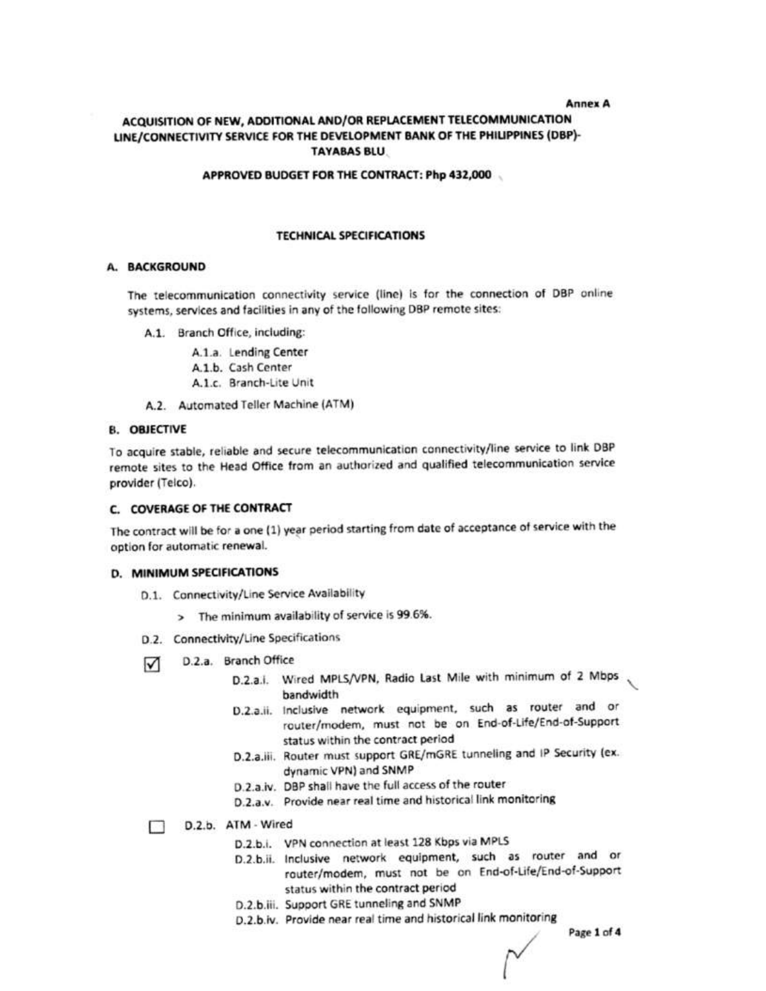#### **Annex A**

### ACQUISITION OF NEW, ADDITIONAL AND/OR REPLACEMENT TELECOMMUNICATION LINE/CONNECTIVITY SERVICE FOR THE DEVELOPMENT BANK OF THE PHILIPPINES (DBP)-**TAYABAS BLU.**

#### APPROVED BUDGET FOR THE CONTRACT: Php 432,000

### **TECHNICAL SPECIFICATIONS**

### A. BACKGROUND

The telecommunication connectivity service (line) is for the connection of DBP online systems, services and facilities in any of the following DBP remote sites:

A.1. Branch Office, including:

A.1.a. Lending Center

A.1.b. Cash Center

A.1.c. Branch-Lite Unit

A.2. Automated Teller Machine (ATM)

#### **B. OBJECTIVE**

To acquire stable, reliable and secure telecommunication connectivity/line service to link DBP remote sites to the Head Office from an authorized and qualified telecommunication service provider (Telco).

#### C. COVERAGE OF THE CONTRACT

The contract will be for a one (1) year period starting from date of acceptance of service with the option for automatic renewal.

#### **D. MINIMUM SPECIFICATIONS**

- D.1. Connectivity/Line Service Availability
	- > The minimum availability of service is 99.6%.
- D.2. Connectivity/Line Specifications
- D.2.a. Branch Office  $\sqrt{ }$ 
	- D.2.a.i. Wired MPLS/VPN, Radio Last Mile with minimum of 2 Mbps bandwidth
	- D.2.a.ii. Inclusive network equipment, such as router and or router/modem, must not be on End-of-Life/End-of-Support status within the contract period
	- D.2.a.iii. Router must support GRE/mGRE tunneling and IP Security (ex. dynamic VPN) and SNMP
	- D.2.a.iv. DBP shall have the full access of the router
	- D.2.a.v. Provide near real time and historical link monitoring
	- D.2.b. ATM Wired
		- D.2.b.i. VPN connection at least 128 Kbps via MPLS
		- D.2.b.ii. Inclusive network equipment, such as router and or router/modem, must not be on End-of-Life/End-of-Support status within the contract period
		- D.2.b.iii. Support GRE tunneling and SNMP
		- D.2.b.iv. Provide near real time and historical link monitoring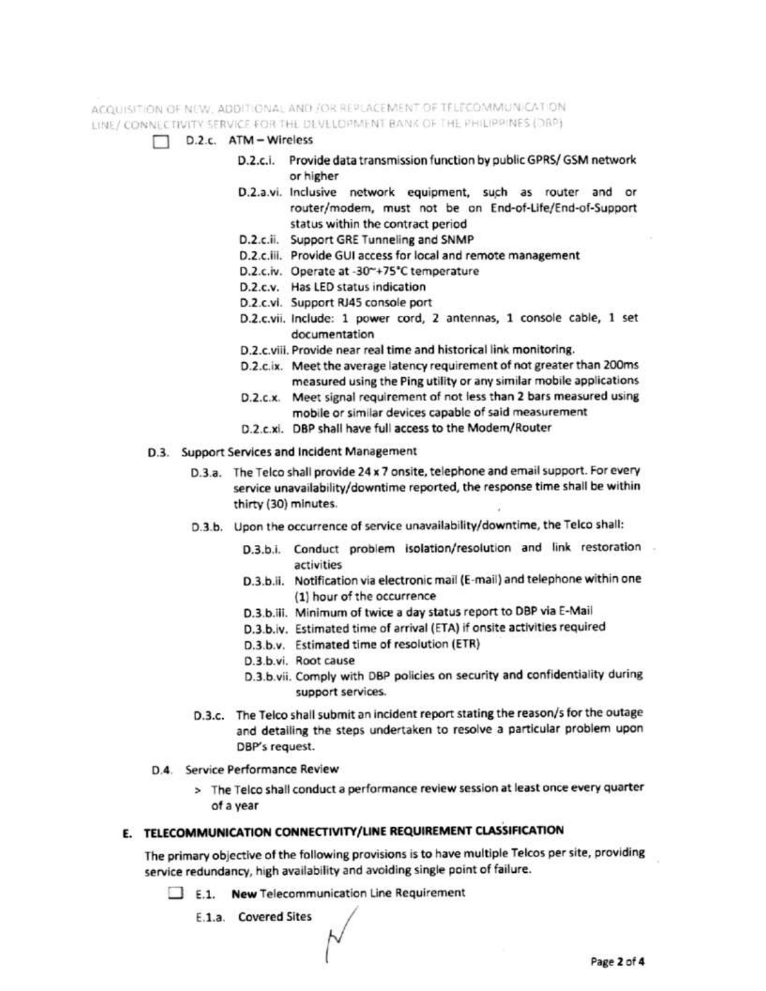ACQUISITION OF NEW, ADDITIONAL AND /OR REPLACEMENT OF TELECOMMUNICATION. LINE/ CONNECTIVITY SERVICE FOR THE DEVELOPMENT BANK OF THE PHILIPPINES (DRP)

- D.2.c. ATM Wireless
	- D.2.c.i. Provide data transmission function by public GPRS/ GSM network or higher
	- D.2.a.vi. Inclusive network equipment, such as router and or router/modem, must not be on End-of-Life/End-of-Support status within the contract period
	- D.2.c.ii. Support GRE Tunneling and SNMP
	- D.2.c.iii. Provide GUI access for local and remote management
	- D.2.c.iv. Operate at -30~+75°C temperature
	- D.2.c.v. Has LED status indication
	- D.2.c.vi. Support RJ45 console port
	- D.2.c.vii. Include: 1 power cord, 2 antennas, 1 console cable, 1 set documentation
	- D.2.c.viii. Provide near real time and historical link monitoring.
	- D.2.c.ix. Meet the average latency requirement of not greater than 200ms measured using the Ping utility or any similar mobile applications
	- D.2.c.x. Meet signal requirement of not less than 2 bars measured using mobile or similar devices capable of said measurement
	- D.2.c.xi. DBP shall have full access to the Modem/Router
- D.3. Support Services and Incident Management
	- D.3.a. The Telco shall provide 24 x 7 onsite, telephone and email support. For every service unavailability/downtime reported, the response time shall be within thirty (30) minutes.
	- D.3.b. Upon the occurrence of service unavailability/downtime, the Telco shall:
		- D.3.b.i. Conduct problem isolation/resolution and link restoration activities
		- D.3.b.ii. Notification via electronic mail (E-mail) and telephone within one (1) hour of the occurrence
		- D.3.b.iii. Minimum of twice a day status report to DBP via E-Mail
		- D.3.b.iv. Estimated time of arrival (ETA) if onsite activities required
		- D.3.b.v. Estimated time of resolution (ETR)
		- D.3.b.vi. Root cause
		- D.3.b.vii. Comply with DBP policies on security and confidentiality during support services.
	- D.3.c. The Telco shall submit an incident report stating the reason/s for the outage and detailing the steps undertaken to resolve a particular problem upon DBP's request.
	- D.4. Service Performance Review
		- > The Telco shall conduct a performance review session at least once every quarter of a year

### E. TELECOMMUNICATION CONNECTIVITY/LINE REQUIREMENT CLASSIFICATION

The primary objective of the following provisions is to have multiple Telcos per site, providing service redundancy, high availability and avoiding single point of failure.

- E.1. New Telecommunication Line Requirement
	- E.1.a. Covered Sites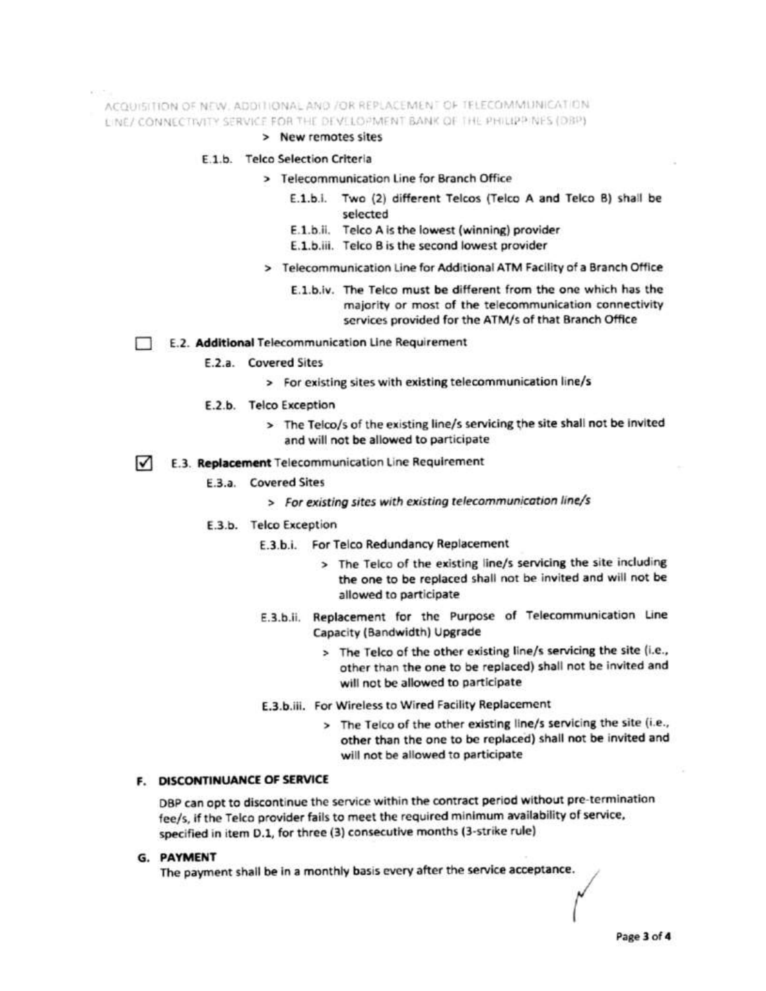ACQUISITION OF NEW, ADDITIONAL AND JOR REPLACEMENT OF TELECOMMUNICATION.

LINE/ CONNECTIVITY SERVICE FOR THE DEVELOPMENT BANK OF THE PHILIPPINES (DBP)

### > New remotes sites

### E.1.b. Telco Selection Criteria

- > Telecommunication Line for Branch Office
	- E.1.b.i. Two (2) different Telcos (Telco A and Telco B) shall be selected
	- E.1.b.ii. Telco A is the lowest (winning) provider
	- E.1.b.iii. Telco B is the second lowest provider
- > Telecommunication Line for Additional ATM Facility of a Branch Office
	- E.1.b.iv. The Telco must be different from the one which has the majority or most of the telecommunication connectivity services provided for the ATM/s of that Branch Office

### E.2. Additional Telecommunication Line Requirement

- E.2.a. Covered Sites
	- > For existing sites with existing telecommunication line/s
- E.2.b. Telco Exception
	- > The Telco/s of the existing line/s servicing the site shall not be invited and will not be allowed to participate

#### E.3. Replacement Telecommunication Line Requirement M

- E.3.a. Covered Sites
	- > For existing sites with existing telecommunication line/s
- E.3.b. Telco Exception
	- E.3.b.i. For Telco Redundancy Replacement
		- > The Telco of the existing line/s servicing the site including the one to be replaced shall not be invited and will not be allowed to participate
	- E.3.b.ii. Replacement for the Purpose of Telecommunication Line Capacity (Bandwidth) Upgrade
		- > The Telco of the other existing line/s servicing the site (i.e., other than the one to be replaced) shall not be invited and will not be allowed to participate
	- E.3.b.iii. For Wireless to Wired Facility Replacement
		- > The Telco of the other existing line/s servicing the site (i.e., other than the one to be replaced) shall not be invited and will not be allowed to participate

### F. DISCONTINUANCE OF SERVICE

DBP can opt to discontinue the service within the contract period without pre-termination fee/s, if the Telco provider fails to meet the required minimum availability of service, specified in item D.1, for three (3) consecutive months (3-strike rule)

G. PAYMENT

The payment shall be in a monthly basis every after the service acceptance.